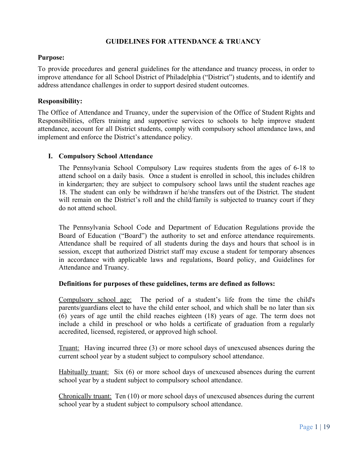## **GUIDELINES FOR ATTENDANCE & TRUANCY**

#### **Purpose:**

To provide procedures and general guidelines for the attendance and truancy process, in order to improve attendance for all School District of Philadelphia ("District") students, and to identify and address attendance challenges in order to support desired student outcomes.

## **Responsibility:**

The Office of Attendance and Truancy, under the supervision of the Office of Student Rights and Responsibilities, offers training and supportive services to schools to help improve student attendance, account for all District students, comply with compulsory school attendance laws, and implement and enforce the District's attendance policy.

## **I. Compulsory School Attendance**

The Pennsylvania School Compulsory Law requires students from the ages of 6-18 to attend school on a daily basis. Once a student is enrolled in school, this includes children in kindergarten; they are subject to compulsory school laws until the student reaches age 18. The student can only be withdrawn if he/she transfers out of the District. The student will remain on the District's roll and the child/family is subjected to truancy court if they do not attend school.

The Pennsylvania School Code and Department of Education Regulations provide the Board of Education ("Board") the authority to set and enforce attendance requirements. Attendance shall be required of all students during the days and hours that school is in session, except that authorized District staff may excuse a student for temporary absences in accordance with applicable laws and regulations, Board policy, and Guidelines for Attendance and Truancy.

#### **Definitions for purposes of these guidelines, terms are defined as follows:**

Compulsory school age: The period of a student's life from the time the child's parents/guardians elect to have the child enter school, and which shall be no later than six (6) years of age until the child reaches eighteen (18) years of age. The term does not include a child in preschool or who holds a certificate of graduation from a regularly accredited, licensed, registered, or approved high school.

Truant: Having incurred three (3) or more school days of unexcused absences during the current school year by a student subject to compulsory school attendance.

Habitually truant: Six (6) or more school days of unexcused absences during the current school year by a student subject to compulsory school attendance.

Chronically truant: Ten (10) or more school days of unexcused absences during the current school year by a student subject to compulsory school attendance.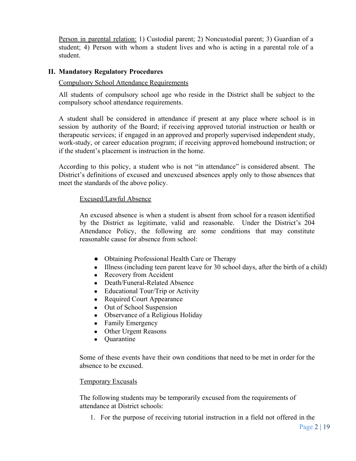Person in parental relation: 1) Custodial parent; 2) Noncustodial parent; 3) Guardian of a student; 4) Person with whom a student lives and who is acting in a parental role of a student.

## **II. Mandatory Regulatory Procedures**

#### Compulsory School Attendance Requirements

All students of compulsory school age who reside in the District shall be subject to the compulsory school attendance requirements.

A student shall be considered in attendance if present at any place where school is in session by authority of the Board; if receiving approved tutorial instruction or health or therapeutic services; if engaged in an approved and properly supervised independent study, work-study, or career education program; if receiving approved homebound instruction; or if the student's placement is instruction in the home.

According to this policy, a student who is not "in attendance" is considered absent. The District's definitions of excused and unexcused absences apply only to those absences that meet the standards of the above policy.

#### Excused/Lawful Absence

An excused absence is when a student is absent from school for a reason identified by the District as legitimate, valid and reasonable. Under the District's 204 Attendance Policy, the following are some conditions that may constitute reasonable cause for absence from school:

- Obtaining Professional Health Care or Therapy
- Illness (including teen parent leave for 30 school days, after the birth of a child)
- Recovery from Accident
- Death/Funeral-Related Absence
- Educational Tour/Trip or Activity
- Required Court Appearance
- Out of School Suspension
- Observance of a Religious Holiday
- Family Emergency
- Other Urgent Reasons
- Quarantine

Some of these events have their own conditions that need to be met in order for the absence to be excused.

#### Temporary Excusals

The following students may be temporarily excused from the requirements of attendance at District schools:

1. For the purpose of receiving tutorial instruction in a field not offered in the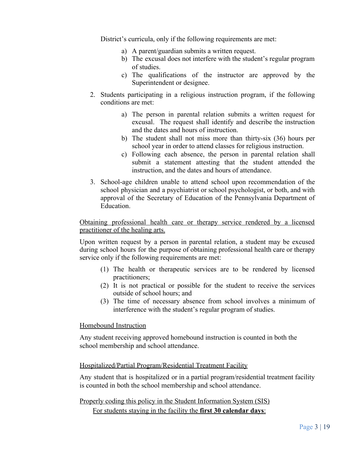District's curricula, only if the following requirements are met:

- a) A parent/guardian submits a written request.
- b) The excusal does not interfere with the student's regular program of studies.
- c) The qualifications of the instructor are approved by the Superintendent or designee.
- 2. Students participating in a religious instruction program, if the following conditions are met:
	- a) The person in parental relation submits a written request for excusal. The request shall identify and describe the instruction and the dates and hours of instruction.
	- b) The student shall not miss more than thirty-six (36) hours per school year in order to attend classes for religious instruction.
	- c) Following each absence, the person in parental relation shall submit a statement attesting that the student attended the instruction, and the dates and hours of attendance.
- 3. School-age children unable to attend school upon recommendation of the school physician and a psychiatrist or school psychologist, or both, and with approval of the Secretary of Education of the Pennsylvania Department of **Education**

Obtaining professional health care or therapy service rendered by a licensed practitioner of the healing arts.

Upon written request by a person in parental relation, a student may be excused during school hours for the purpose of obtaining professional health care or therapy service only if the following requirements are met:

- (1) The health or therapeutic services are to be rendered by licensed practitioners;
- (2) It is not practical or possible for the student to receive the services outside of school hours; and
- (3) The time of necessary absence from school involves a minimum of interference with the student's regular program of studies.

Homebound Instruction

Any student receiving approved homebound instruction is counted in both the school membership and school attendance.

## Hospitalized/Partial Program/Residential Treatment Facility

Any student that is hospitalized or in a partial program/residential treatment facility is counted in both the school membership and school attendance.

Properly coding this policy in the Student Information System (SIS)

For students staying in the facility the **first 30 calendar days**: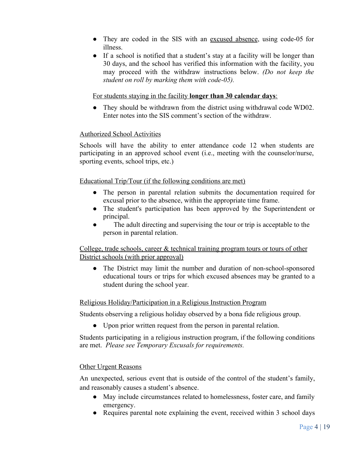- They are coded in the SIS with an excused absence, using code-05 for illness.
- If a school is notified that a student's stay at a facility will be longer than 30 days, and the school has verified this information with the facility, you may proceed with the withdraw instructions below. *(Do not keep the student on roll by marking them with code-05).*

#### For students staying in the facility **longer than 30 calendar days**:

• They should be withdrawn from the district using withdrawal code WD02. Enter notes into the SIS comment's section of the withdraw.

## Authorized School Activities

Schools will have the ability to enter attendance code 12 when students are participating in an approved school event (i.e., meeting with the counselor/nurse, sporting events, school trips, etc.)

#### Educational Trip/Tour (if the following conditions are met)

- The person in parental relation submits the documentation required for excusal prior to the absence, within the appropriate time frame.
- The student's participation has been approved by the Superintendent or principal.
- The adult directing and supervising the tour or trip is acceptable to the person in parental relation.

College, trade schools, career & technical training program tours or tours of other District schools (with prior approval)

• The District may limit the number and duration of non-school-sponsored educational tours or trips for which excused absences may be granted to a student during the school year.

#### Religious Holiday/Participation in a Religious Instruction Program

Students observing a religious holiday observed by a bona fide religious group.

● Upon prior written request from the person in parental relation.

Students participating in a religious instruction program, if the following conditions are met. *Please see Temporary Excusals for requirements.*

#### Other Urgent Reasons

An unexpected, serious event that is outside of the control of the student's family, and reasonably causes a student's absence.

- May include circumstances related to homelessness, foster care, and family emergency.
- Requires parental note explaining the event, received within 3 school days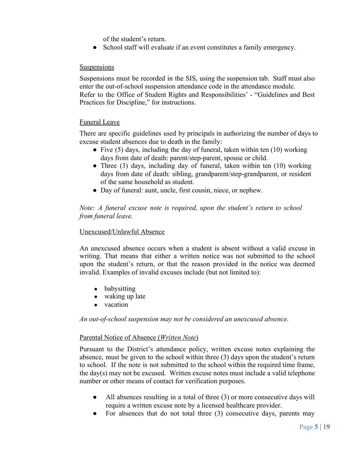of the student's return.

● School staff will evaluate if an event constitutes a family emergency.

## **Suspensions**

Suspensions must be recorded in the SIS, using the suspension tab. Staff must also enter the out-of-school suspension attendance code in the attendance module. Refer to the Office of Student Rights and Responsibilities' - "Guidelines and Best Practices for Discipline," for instructions.

## Funeral Leave

There are specific guidelines used by principals in authorizing the number of days to excuse student absences due to death in the family:

- Five  $(5)$  days, including the day of funeral, taken within ten  $(10)$  working days from date of death: parent/step-parent, spouse or child.
- Three (3) days, including day of funeral, taken within ten (10) working days from date of death: sibling, grandparent/step-grandparent, or resident of the same household as student.
- Day of funeral: aunt, uncle, first cousin, niece, or nephew.

## *Note: A funeral excuse note is required, upon the student's return to school from funeral leave.*

## Unexcused/Unlawful Absence

An unexcused absence occurs when a student is absent without a valid excuse in writing. That means that either a written notice was not submitted to the school upon the student's return, or that the reason provided in the notice was deemed invalid. Examples of invalid excuses include (but not limited to):

- babysitting
- waking up late
- vacation

*An out-of-school suspension may not be considered an unexcused absence.*

## Parental Notice of Absence (*Written Note*)

Pursuant to the District's attendance policy, written excuse notes explaining the absence, must be given to the school within three (3) days upon the student's return to school. If the note is not submitted to the school within the required time frame, the day(s) may not be excused. Written excuse notes must include a valid telephone number or other means of contact for verification purposes.

- All absences resulting in a total of three (3) or more consecutive days will require a written excuse note by a licensed healthcare provider.
- For absences that do not total three  $(3)$  consecutive days, parents may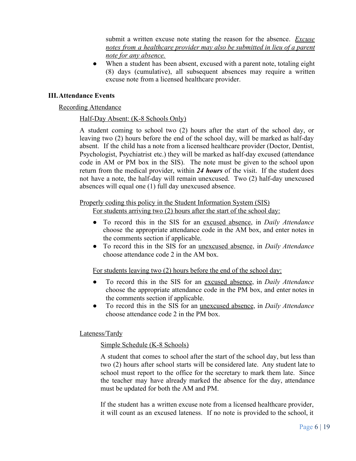submit a written excuse note stating the reason for the absence. *Excuse notes from a healthcare provider may also be submitted in lieu of a parent note for any absence.*

• When a student has been absent, excused with a parent note, totaling eight (8) days (cumulative), all subsequent absences may require a written excuse note from a licensed healthcare provider.

## **III.Attendance Events**

#### Recording Attendance

#### Half-Day Absent: (K-8 Schools Only)

A student coming to school two (2) hours after the start of the school day, or leaving two (2) hours before the end of the school day, will be marked as half-day absent. If the child has a note from a licensed healthcare provider (Doctor, Dentist, Psychologist, Psychiatrist etc.) they will be marked as half-day excused (attendance code in AM or PM box in the SIS). The note must be given to the school upon return from the medical provider, within *24 hours* of the visit. If the student does not have a note, the half-day will remain unexcused. Two (2) half-day unexcused absences will equal one (1) full day unexcused absence.

#### Properly coding this policy in the Student Information System (SIS)

For students arriving two (2) hours after the start of the school day:

- To record this in the SIS for an excused absence, in *Daily Attendance* choose the appropriate attendance code in the AM box, and enter notes in the comments section if applicable.
- To record this in the SIS for an unexcused absence, in *Daily Attendance* choose attendance code 2 in the AM box.

For students leaving two (2) hours before the end of the school day:

- To record this in the SIS for an excused absence, in *Daily Attendance* choose the appropriate attendance code in the PM box, and enter notes in the comments section if applicable.
- To record this in the SIS for an unexcused absence, in *Daily Attendance* choose attendance code 2 in the PM box.

#### Lateness/Tardy

#### Simple Schedule (K-8 Schools)

A student that comes to school after the start of the school day, but less than two (2) hours after school starts will be considered late. Any student late to school must report to the office for the secretary to mark them late. Since the teacher may have already marked the absence for the day, attendance must be updated for both the AM and PM.

If the student has a written excuse note from a licensed healthcare provider, it will count as an excused lateness. If no note is provided to the school, it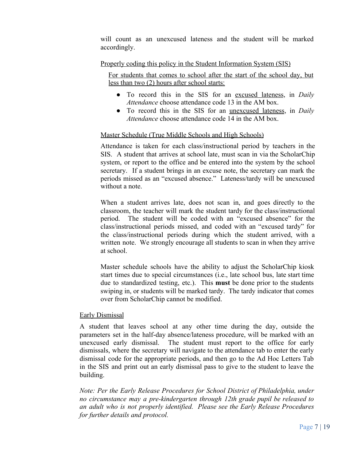will count as an unexcused lateness and the student will be marked accordingly.

## Properly coding this policy in the Student Information System (SIS)

For students that comes to school after the start of the school day, but less than two (2) hours after school starts:

- To record this in the SIS for an excused lateness, in *Daily Attendance* choose attendance code 13 in the AM box.
- To record this in the SIS for an unexcused lateness, in *Daily Attendance* choose attendance code 14 in the AM box.

## Master Schedule (True Middle Schools and High Schools)

Attendance is taken for each class/instructional period by teachers in the SIS. A student that arrives at school late, must scan in via the ScholarChip system, or report to the office and be entered into the system by the school secretary. If a student brings in an excuse note, the secretary can mark the periods missed as an "excused absence." Lateness/tardy will be unexcused without a note.

When a student arrives late, does not scan in, and goes directly to the classroom, the teacher will mark the student tardy for the class/instructional period. The student will be coded with an "excused absence" for the class/instructional periods missed, and coded with an "excused tardy" for the class/instructional periods during which the student arrived, with a written note. We strongly encourage all students to scan in when they arrive at school.

Master schedule schools have the ability to adjust the ScholarChip kiosk start times due to special circumstances (i.e., late school bus, late start time due to standardized testing, etc.). This **must** be done prior to the students swiping in, or students will be marked tardy. The tardy indicator that comes over from ScholarChip cannot be modified.

#### Early Dismissal

A student that leaves school at any other time during the day, outside the parameters set in the half-day absence/lateness procedure, will be marked with an unexcused early dismissal. The student must report to the office for early dismissals, where the secretary will navigate to the attendance tab to enter the early dismissal code for the appropriate periods, and then go to the Ad Hoc Letters Tab in the SIS and print out an early dismissal pass to give to the student to leave the building.

*Note: Per the Early Release Procedures for School District of Philadelphia, under no circumstance may a pre-kindergarten through 12th grade pupil be released to an adult who is not properly identified. Please see the Early Release Procedures for further details and protocol.*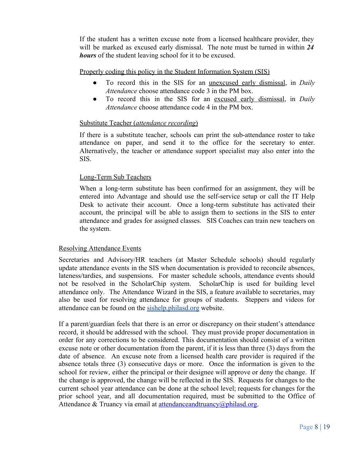If the student has a written excuse note from a licensed healthcare provider, they will be marked as excused early dismissal. The note must be turned in within *24 hours* of the student leaving school for it to be excused.

Properly coding this policy in the Student Information System (SIS)

- *●* To record this in the SIS for an unexcused early dismissal, in *Daily Attendance* choose attendance code 3 in the PM box.
- To record this in the SIS for an excused early dismissal, in *Daily Attendance* choose attendance code 4 in the PM box.

## Substitute Teacher (*attendance recording*)

If there is a substitute teacher, schools can print the sub-attendance roster to take attendance on paper, and send it to the office for the secretary to enter. Alternatively, the teacher or attendance support specialist may also enter into the SIS.

## Long-Term Sub Teachers

When a long-term substitute has been confirmed for an assignment, they will be entered into Advantage and should use the self-service setup or call the IT Help Desk to activate their account. Once a long-term substitute has activated their account, the principal will be able to assign them to sections in the SIS to enter attendance and grades for assigned classes. SIS Coaches can train new teachers on the system.

#### Resolving Attendance Events

Secretaries and Advisory/HR teachers (at Master Schedule schools) should regularly update attendance events in the SIS when documentation is provided to reconcile absences, lateness/tardies, and suspensions. For master schedule schools, attendance events should not be resolved in the ScholarChip system. ScholarChip is used for building level attendance only. The Attendance Wizard in the SIS, a feature available to secretaries, may also be used for resolving attendance for groups of students. Steppers and videos for attendance can be found on the sishelp.philasd.org website.

If a parent/guardian feels that there is an error or discrepancy on their student's attendance record, it should be addressed with the school. They must provide proper documentation in order for any corrections to be considered. This documentation should consist of a written excuse note or other documentation from the parent, if it is less than three (3) days from the date of absence. An excuse note from a licensed health care provider is required if the absence totals three (3) consecutive days or more. Once the information is given to the school for review, either the principal or their designee will approve or deny the change. If the change is approved, the change will be reflected in the SIS. Requests for changes to the current school year attendance can be done at the school level; requests for changes for the prior school year, and all documentation required, must be submitted to the Office of Attendance & Truancy via email at attendanceandtruancy@philasd.org.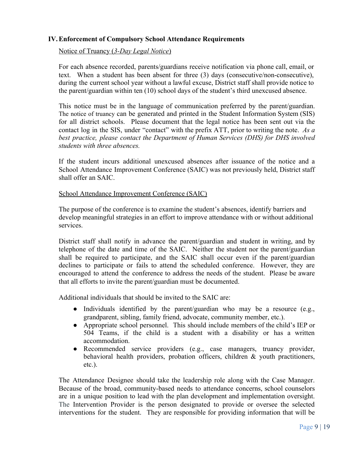## **IV.Enforcement of Compulsory School Attendance Requirements**

Notice of Truancy (*3-Day Legal Notice*)

For each absence recorded, parents/guardians receive notification via phone call, email, or text. When a student has been absent for three (3) days (consecutive/non-consecutive), during the current school year without a lawful excuse, District staff shall provide notice to the parent/guardian within ten (10) school days of the student's third unexcused absence.

This notice must be in the language of communication preferred by the parent/guardian. The notice of truancy can be generated and printed in the Student Information System (SIS) for all district schools. Please document that the legal notice has been sent out via the contact log in the SIS, under "contact" with the prefix ATT, prior to writing the note. *As a best practice, please contact the Department of Human Services (DHS) for DHS involved students with three absences.*

If the student incurs additional unexcused absences after issuance of the notice and a School Attendance Improvement Conference (SAIC) was not previously held, District staff shall offer an SAIC.

#### School Attendance Improvement Conference (SAIC)

The purpose of the conference is to examine the student's absences, identify barriers and develop meaningful strategies in an effort to improve attendance with or without additional services.

District staff shall notify in advance the parent/guardian and student in writing, and by telephone of the date and time of the SAIC. Neither the student nor the parent/guardian shall be required to participate, and the SAIC shall occur even if the parent/guardian declines to participate or fails to attend the scheduled conference. However, they are encouraged to attend the conference to address the needs of the student. Please be aware that all efforts to invite the parent/guardian must be documented.

Additional individuals that should be invited to the SAIC are:

- Individuals identified by the parent/guardian who may be a resource (e.g., grandparent, sibling, family friend, advocate, community member, etc.).
- Appropriate school personnel. This should include members of the child's IEP or 504 Teams, if the child is a student with a disability or has a written accommodation.
- Recommended service providers (e.g., case managers, truancy provider, behavioral health providers, probation officers, children & youth practitioners, etc.).

The Attendance Designee should take the leadership role along with the Case Manager. Because of the broad, community-based needs to attendance concerns, school counselors are in a unique position to lead with the plan development and implementation oversight. The Intervention Provider is the person designated to provide or oversee the selected interventions for the student. They are responsible for providing information that will be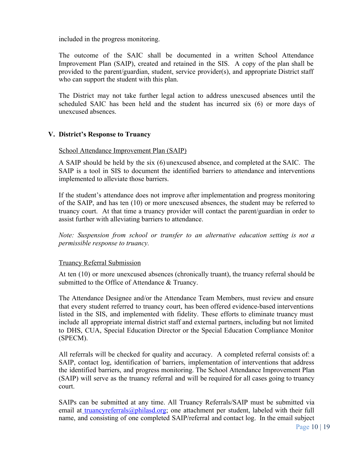included in the progress monitoring.

The outcome of the SAIC shall be documented in a written School Attendance Improvement Plan (SAIP), created and retained in the SIS. A copy of the plan shall be provided to the parent/guardian, student, service provider(s), and appropriate District staff who can support the student with this plan.

The District may not take further legal action to address unexcused absences until the scheduled SAIC has been held and the student has incurred six (6) or more days of unexcused absences.

## **V. District's Response to Truancy**

#### School Attendance Improvement Plan (SAIP)

A SAIP should be held by the six (6) unexcused absence, and completed at the SAIC. The SAIP is a tool in SIS to document the identified barriers to attendance and interventions implemented to alleviate those barriers.

If the student's attendance does not improve after implementation and progress monitoring of the SAIP, and has ten (10) or more unexcused absences, the student may be referred to truancy court. At that time a truancy provider will contact the parent/guardian in order to assist further with alleviating barriers to attendance.

*Note: Suspension from school or transfer to an alternative education setting is not a permissible response to truancy.*

#### Truancy Referral Submission

At ten (10) or more unexcused absences (chronically truant), the truancy referral should be submitted to the Office of Attendance & Truancy.

The Attendance Designee and/or the Attendance Team Members, must review and ensure that every student referred to truancy court, has been offered evidence-based interventions listed in the SIS, and implemented with fidelity. These efforts to eliminate truancy must include all appropriate internal district staff and external partners, including but not limited to DHS, CUA, Special Education Director or the Special Education Compliance Monitor (SPECM).

All referrals will be checked for quality and accuracy. A completed referral consists of: a SAIP, contact log, identification of barriers, implementation of interventions that address the identified barriers, and progress monitoring. The School Attendance Improvement Plan (SAIP) will serve as the truancy referral and will be required for all cases going to truancy court.

SAIPs can be submitted at any time. All Truancy Referrals/SAIP must be submitted via email at truancyreferrals@philasd.org; one attachment per student, labeled with their full name, and consisting of one completed SAIP/referral and contact log. In the email subject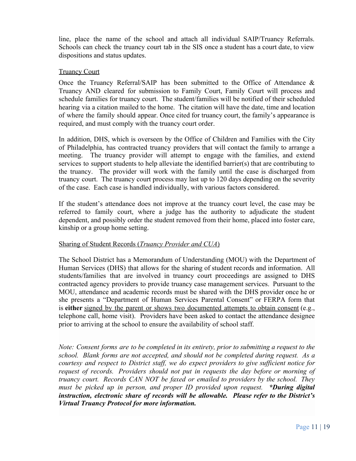line, place the name of the school and attach all individual SAIP/Truancy Referrals. Schools can check the truancy court tab in the SIS once a student has a court date, to view dispositions and status updates.

## Truancy Court

Once the Truancy Referral/SAIP has been submitted to the Office of Attendance & Truancy AND cleared for submission to Family Court, Family Court will process and schedule families for truancy court. The student/families will be notified of their scheduled hearing via a citation mailed to the home. The citation will have the date, time and location of where the family should appear. Once cited for truancy court, the family's appearance is required, and must comply with the truancy court order.

In addition, DHS, which is overseen by the Office of Children and Families with the City of Philadelphia, has contracted truancy providers that will contact the family to arrange a meeting. The truancy provider will attempt to engage with the families, and extend services to support students to help alleviate the identified barrier(s) that are contributing to the truancy. The provider will work with the family until the case is discharged from truancy court. The truancy court process may last up to 120 days depending on the severity of the case. Each case is handled individually, with various factors considered.

If the student's attendance does not improve at the truancy court level, the case may be referred to family court, where a judge has the authority to adjudicate the student dependent, and possibly order the student removed from their home, placed into foster care, kinship or a group home setting.

## Sharing of Student Records (*Truancy Provider and CUA*)

The School District has a Memorandum of Understanding (MOU) with the Department of Human Services (DHS) that allows for the sharing of student records and information. All students/families that are involved in truancy court proceedings are assigned to DHS contracted agency providers to provide truancy case management services. Pursuant to the MOU, attendance and academic records must be shared with the DHS provider once he or she presents a "Department of Human Services Parental Consent" or FERPA form that is **either** signed by the parent or shows two documented attempts to obtain consent (e.g., telephone call, home visit). Providers have been asked to contact the attendance designee prior to arriving at the school to ensure the availability of school staff.

*Note: Consent forms are to be completed in its entirety, prior to submitting a request to the school. Blank forms are not accepted, and should not be completed during request. As a courtesy and respect to District staff, we do expect providers to give sufficient notice for request of records. Providers should not put in requests the day before or morning of truancy court. Records CAN NOT be faxed or emailed to providers by the school. They must be picked up in person, and proper ID provided upon request. \*During digital instruction, electronic share of records will be allowable. Please refer to the District's Virtual Truancy Protocol for more information.*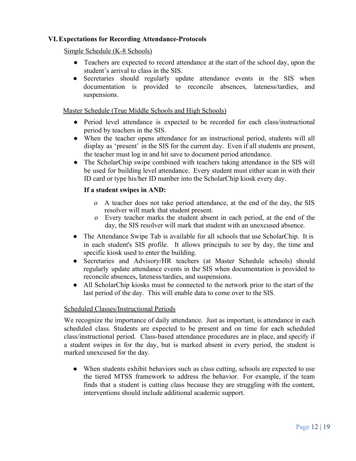## **VI.Expectations for Recording Attendance-Protocols**

## Simple Schedule (K-8 Schools)

- Teachers are expected to record attendance at the start of the school day, upon the student's arrival to class in the SIS.
- Secretaries should regularly update attendance events in the SIS when documentation is provided to reconcile absences, lateness/tardies, and suspensions.

## Master Schedule (True Middle Schools and High Schools)

- Period level attendance is expected to be recorded for each class/instructional period by teachers in the SIS.
- When the teacher opens attendance for an instructional period, students will all display as 'present' in the SIS for the current day. Even if all students are present, the teacher must log in and hit save to document period attendance.
- The ScholarChip swipe combined with teachers taking attendance in the SIS will be used for building level attendance. Every student must either scan in with their ID card or type his/her ID number into the ScholarChip kiosk every day.

## **If a student swipes in AND:**

- o A teacher does not take period attendance, at the end of the day, the SIS resolver will mark that student present.
- o Every teacher marks the student absent in each period, at the end of the day, the SIS resolver will mark that student with an unexcused absence.
- The Attendance Swipe Tab is available for all schools that use ScholarChip. It is in each student's SIS profile. It allows principals to see by day, the time and specific kiosk used to enter the building.
- Secretaries and Advisory/HR teachers (at Master Schedule schools) should regularly update attendance events in the SIS when documentation is provided to reconcile absences, lateness/tardies, and suspensions.
- All ScholarChip kiosks must be connected to the network prior to the start of the last period of the day. This will enable data to come over to the SIS.

#### Scheduled Classes/Instructional Periods

We recognize the importance of daily attendance. Just as important, is attendance in each scheduled class. Students are expected to be present and on time for each scheduled class/instructional period. Class-based attendance procedures are in place, and specify if a student swipes in for the day, but is marked absent in every period, the student is marked unexcused for the day.

• When students exhibit behaviors such as class cutting, schools are expected to use the tiered MTSS framework to address the behavior. For example, if the team finds that a student is cutting class because they are struggling with the content, interventions should include additional academic support.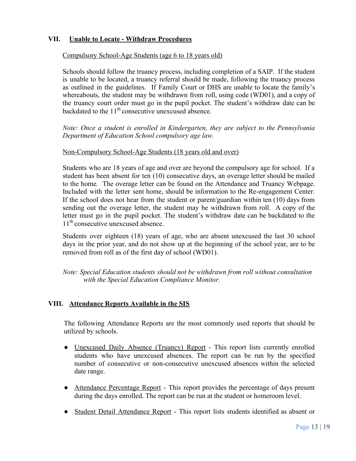## **VII. Unable to Locate - Withdraw Procedures**

#### Compulsory School-Age Students (age 6 to 18 years old)

Schools should follow the truancy process, including completion of a SAIP. If the student is unable to be located, a truancy referral should be made, following the truancy process as outlined in the guidelines. If Family Court or DHS are unable to locate the family's whereabouts, the student may be withdrawn from roll, using code (WD01), and a copy of the truancy court order must go in the pupil pocket. The student's withdraw date can be backdated to the  $11<sup>th</sup>$  consecutive unexcused absence.

*Note: Once a student is enrolled in Kindergarten, they are subject to the Pennsylvania Department of Education School compulsory age law.*

#### Non-Compulsory School-Age Students (18 years old and over)

Students who are 18 years of age and over are beyond the compulsory age for school. If a student has been absent for ten (10) consecutive days, an overage letter should be mailed to the home*.* The overage letter can be found on the Attendance and Truancy Webpage. Included with the letter sent home, should be information to the Re-engagement Center. If the school does not hear from the student or parent/guardian within ten (10) days from sending out the overage letter, the student may be withdrawn from roll. A copy of the letter must go in the pupil pocket. The student's withdraw date can be backdated to the 11<sup>th</sup> consecutive unexcused absence.

Students over eighteen (18) years of age, who are absent unexcused the last 30 school days in the prior year, and do not show up at the beginning of the school year, are to be removed from roll as of the first day of school (WD01).

*Note: Special Education students should not be withdrawn from roll without consultation with the Special Education Compliance Monitor.*

#### **VIII. Attendance Reports Available in the SIS**

The following Attendance Reports are the most commonly used reports that should be utilized by schools.

- <u>Unexcused Daily Absence (Truancy) Report</u> This report lists currently enrolled students who have unexcused absences. The report can be run by the specified number of consecutive or non-consecutive unexcused absences within the selected date range.
- Attendance Percentage Report This report provides the percentage of days present during the days enrolled. The report can be run at the student or homeroom level.
- Student Detail Attendance Report This report lists students identified as absent or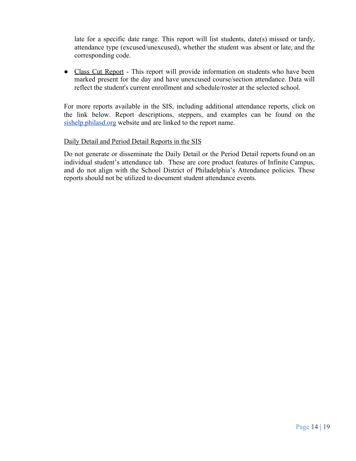late for a specific date range. This report will list students, date(s) missed or tardy, attendance type (excused/unexcused), whether the student was absent or late, and the corresponding code.

• Class Cut Report - This report will provide information on students who have been marked present for the day and have unexcused course/section attendance. Data will reflect the student's current enrollment and schedule/roster at the selected school.

For more reports available in the SIS, including additional attendance reports, click on the link below. Report descriptions, steppers, and examples can be found on the sishelp.philasd.org website and are linked to the report name.

#### Daily Detail and Period Detail Reports in the SIS

Do not generate or disseminate the Daily Detail or the Period Detail reports found on an individual student's attendance tab. These are core product features of Infinite Campus, and do not align with the School District of Philadelphia's Attendance policies. These reports should not be utilized to document student attendance events.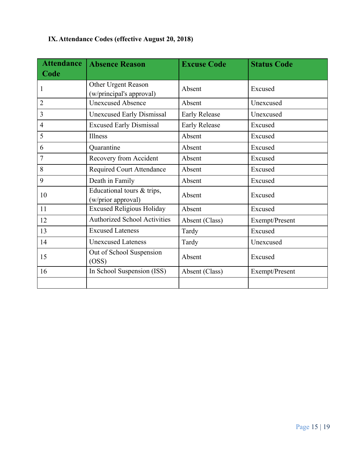# **IX.Attendance Codes (effective August 20, 2018)**

| <b>Attendance</b> | <b>Absence Reason</b>                            | <b>Excuse Code</b>   | <b>Status Code</b> |
|-------------------|--------------------------------------------------|----------------------|--------------------|
| Code              |                                                  |                      |                    |
| 1                 | Other Urgent Reason<br>(w/principal's approval)  | Absent               | Excused            |
| $\overline{2}$    | <b>Unexcused Absence</b>                         | Absent               | Unexcused          |
| 3                 | <b>Unexcused Early Dismissal</b>                 | <b>Early Release</b> | Unexcused          |
| $\overline{4}$    | <b>Excused Early Dismissal</b>                   | <b>Early Release</b> | Excused            |
| 5                 | Illness                                          | Absent               | Excused            |
| 6                 | Quarantine                                       | Absent               | Excused            |
| 7                 | Recovery from Accident                           | Absent               | Excused            |
| 8                 | <b>Required Court Attendance</b>                 | Absent               | Excused            |
| 9                 | Death in Family                                  | Absent               | Excused            |
| 10                | Educational tours & trips,<br>(w/prior approval) | Absent               | Excused            |
| 11                | <b>Excused Religious Holiday</b>                 | Absent               | Excused            |
| 12                | <b>Authorized School Activities</b>              | Absent (Class)       | Exempt/Present     |
| 13                | <b>Excused Lateness</b>                          | Tardy                | Excused            |
| 14                | <b>Unexcused Lateness</b>                        | Tardy                | Unexcused          |
| 15                | Out of School Suspension<br>(OSS)                | Absent               | Excused            |
| 16                | In School Suspension (ISS)                       | Absent (Class)       | Exempt/Present     |
|                   |                                                  |                      |                    |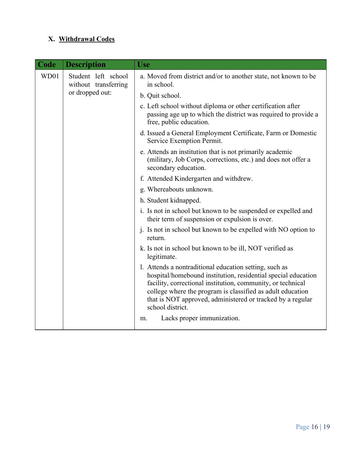## **X. Withdrawal Codes**

| <b>Code</b> | <b>Description</b>                                                      | <b>Use</b>                                                                                                                                                                                                                                                                                                                             |
|-------------|-------------------------------------------------------------------------|----------------------------------------------------------------------------------------------------------------------------------------------------------------------------------------------------------------------------------------------------------------------------------------------------------------------------------------|
| WD01        | Student left school<br>without transferring<br>or dropped out:          | a. Moved from district and/or to another state, not known to be<br>in school.                                                                                                                                                                                                                                                          |
|             |                                                                         | b. Quit school.                                                                                                                                                                                                                                                                                                                        |
|             |                                                                         | c. Left school without diploma or other certification after<br>passing age up to which the district was required to provide a<br>free, public education.                                                                                                                                                                               |
|             |                                                                         | d. Issued a General Employment Certificate, Farm or Domestic<br>Service Exemption Permit.                                                                                                                                                                                                                                              |
|             |                                                                         | e. Attends an institution that is not primarily academic<br>(military, Job Corps, corrections, etc.) and does not offer a<br>secondary education.                                                                                                                                                                                      |
|             |                                                                         | f. Attended Kindergarten and withdrew.                                                                                                                                                                                                                                                                                                 |
|             |                                                                         | g. Whereabouts unknown.                                                                                                                                                                                                                                                                                                                |
|             |                                                                         | h. Student kidnapped.                                                                                                                                                                                                                                                                                                                  |
|             |                                                                         | i. Is not in school but known to be suspended or expelled and<br>their term of suspension or expulsion is over.                                                                                                                                                                                                                        |
|             |                                                                         | j. Is not in school but known to be expelled with NO option to<br>return.                                                                                                                                                                                                                                                              |
|             | k. Is not in school but known to be ill, NOT verified as<br>legitimate. |                                                                                                                                                                                                                                                                                                                                        |
|             |                                                                         | 1. Attends a nontraditional education setting, such as<br>hospital/homebound institution, residential special education<br>facility, correctional institution, community, or technical<br>college where the program is classified as adult education<br>that is NOT approved, administered or tracked by a regular<br>school district. |
|             |                                                                         | Lacks proper immunization.<br>m.                                                                                                                                                                                                                                                                                                       |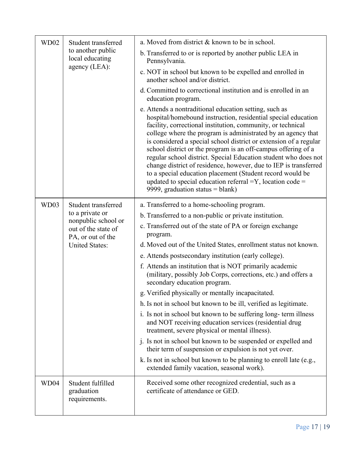| WD02 | Student transferred<br>to another public<br>local educating<br>agency (LEA):                                                       | a. Moved from district & known to be in school.                                                                                                                                                                                                                                                                                                                                                                                                                                                                                                                                                                                                                                                      |
|------|------------------------------------------------------------------------------------------------------------------------------------|------------------------------------------------------------------------------------------------------------------------------------------------------------------------------------------------------------------------------------------------------------------------------------------------------------------------------------------------------------------------------------------------------------------------------------------------------------------------------------------------------------------------------------------------------------------------------------------------------------------------------------------------------------------------------------------------------|
|      |                                                                                                                                    | b. Transferred to or is reported by another public LEA in<br>Pennsylvania.                                                                                                                                                                                                                                                                                                                                                                                                                                                                                                                                                                                                                           |
|      |                                                                                                                                    | c. NOT in school but known to be expelled and enrolled in<br>another school and/or district.                                                                                                                                                                                                                                                                                                                                                                                                                                                                                                                                                                                                         |
|      | d. Committed to correctional institution and is enrolled in an<br>education program.                                               |                                                                                                                                                                                                                                                                                                                                                                                                                                                                                                                                                                                                                                                                                                      |
|      |                                                                                                                                    | e. Attends a nontraditional education setting, such as<br>hospital/homebound instruction, residential special education<br>facility, correctional institution, community, or technical<br>college where the program is administrated by an agency that<br>is considered a special school district or extension of a regular<br>school district or the program is an off-campus offering of a<br>regular school district. Special Education student who does not<br>change district of residence, however, due to IEP is transferred<br>to a special education placement (Student record would be<br>updated to special education referral $=Y$ , location code =<br>9999, graduation status = blank) |
| WD03 | Student transferred<br>to a private or<br>nonpublic school or<br>out of the state of<br>PA, or out of the<br><b>United States:</b> | a. Transferred to a home-schooling program.                                                                                                                                                                                                                                                                                                                                                                                                                                                                                                                                                                                                                                                          |
|      |                                                                                                                                    | b. Transferred to a non-public or private institution.                                                                                                                                                                                                                                                                                                                                                                                                                                                                                                                                                                                                                                               |
|      |                                                                                                                                    | c. Transferred out of the state of PA or foreign exchange<br>program.                                                                                                                                                                                                                                                                                                                                                                                                                                                                                                                                                                                                                                |
|      |                                                                                                                                    | d. Moved out of the United States, enrollment status not known.                                                                                                                                                                                                                                                                                                                                                                                                                                                                                                                                                                                                                                      |
|      |                                                                                                                                    | e. Attends postsecondary institution (early college).                                                                                                                                                                                                                                                                                                                                                                                                                                                                                                                                                                                                                                                |
|      |                                                                                                                                    | f. Attends an institution that is NOT primarily academic<br>(military, possibly Job Corps, corrections, etc.) and offers a<br>secondary education program.                                                                                                                                                                                                                                                                                                                                                                                                                                                                                                                                           |
|      |                                                                                                                                    | g. Verified physically or mentally incapacitated.                                                                                                                                                                                                                                                                                                                                                                                                                                                                                                                                                                                                                                                    |
|      |                                                                                                                                    | h. Is not in school but known to be ill, verified as legitimate.                                                                                                                                                                                                                                                                                                                                                                                                                                                                                                                                                                                                                                     |
|      |                                                                                                                                    | i. Is not in school but known to be suffering long-term illness<br>and NOT receiving education services (residential drug<br>treatment, severe physical or mental illness).                                                                                                                                                                                                                                                                                                                                                                                                                                                                                                                          |
|      |                                                                                                                                    | j. Is not in school but known to be suspended or expelled and<br>their term of suspension or expulsion is not yet over.                                                                                                                                                                                                                                                                                                                                                                                                                                                                                                                                                                              |
|      |                                                                                                                                    | k. Is not in school but known to be planning to enroll late (e.g.,<br>extended family vacation, seasonal work).                                                                                                                                                                                                                                                                                                                                                                                                                                                                                                                                                                                      |
| WD04 | Student fulfilled<br>graduation<br>requirements.                                                                                   | Received some other recognized credential, such as a<br>certificate of attendance or GED.                                                                                                                                                                                                                                                                                                                                                                                                                                                                                                                                                                                                            |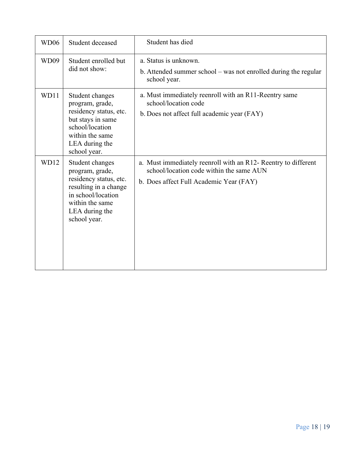| WD <sub>06</sub> | Student deceased                                                                                                                                                 | Student has died                                                                                                                                      |
|------------------|------------------------------------------------------------------------------------------------------------------------------------------------------------------|-------------------------------------------------------------------------------------------------------------------------------------------------------|
| WD09             | Student enrolled but<br>did not show:                                                                                                                            | a. Status is unknown.<br>b. Attended summer school – was not enrolled during the regular<br>school year.                                              |
| WD11             | Student changes<br>program, grade,<br>residency status, etc.<br>but stays in same<br>school/location<br>within the same<br>LEA during the<br>school year.        | a. Must immediately reenroll with an R11-Reentry same<br>school/location code<br>b. Does not affect full academic year (FAY)                          |
| <b>WD12</b>      | Student changes<br>program, grade,<br>residency status, etc.<br>resulting in a change<br>in school/location<br>within the same<br>LEA during the<br>school year. | a. Must immediately reenroll with an R12- Reentry to different<br>school/location code within the same AUN<br>b. Does affect Full Academic Year (FAY) |